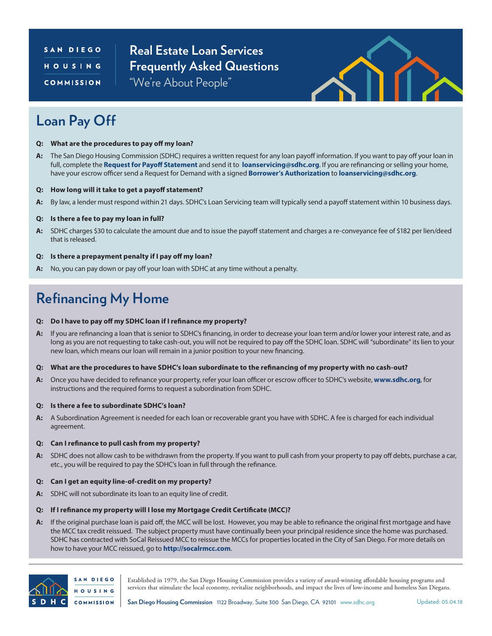### SAN DIEGO HOUSING **COMMISSION**

**Real Estate Loan Services Frequently Asked Questions** "We're About People"



## **Loan Pay Off**

- **Q: What are the procedures to pay off my loan?**
- **A:** The San Diego Housing Commission (SDHC) requires a written request for any loan payoff information. If you want to pay off your loan in full, complete the **[Request for Payoff Statement](http://www.sdhc.org/uploadedFiles/Real_Estate/Loan_Servicing/Request%20for%20Payoff%20Statement.pdf)** and send it to **[loanservicing@sdhc.org](mailto:loanservicing%40sdhc.org?subject=)**. If you are refinancing or selling your home, have your escrow officer send a Request for Demand with a signed **[Borrower's Authorization](http://www.sdhc.org/uploadedFiles/Real_Estate/Loan_Servicing/Borrowers%20Authorization.pdf)** to **[loanservicing@sdhc.org](mailto:loanservicing%40sdhc.org?subject=)**.
- **Q: How long will it take to get a payoff statement?**
- **A:** By law, a lender must respond within 21 days. SDHC's Loan Servicing team will typically send a payoff statement within 10 business days.

#### **Q: Is there a fee to pay my loan in full?**

**A:** SDHC charges \$30 to calculate the amount due and to issue the payoff statement and charges a re-conveyance fee of \$182 per lien/deed that is released.

#### **Q: Is there a prepayment penalty if I pay off my loan?**

**A:** No, you can pay down or pay off your loan with SDHC at any time without a penalty.

# **Refinancing My Home**

#### **Q: Do I have to pay off my SDHC loan if I refinance my property?**

- **A:** If you are refinancing a loan that is senior to SDHC's financing, in order to decrease your loan term and/or lower your interest rate, and as long as you are not requesting to take cash-out, you will not be required to pay off the SDHC loan. SDHC will "subordinate" its lien to your new loan, which means our loan will remain in a junior position to your new financing.
- **Q: What are the procedures to have SDHC's loan subordinate to the refinancing of my property with no cash-out?**
- **A:** Once you have decided to refinance your property, refer your loan officer or escrow officer to SDHC's website, **[www.sdhc.org](http://www.sdhc.org)**, for instructions and the required forms to request a subordination from SDHC.

#### **Q: Is there a fee to subordinate SDHC's loan?**

**A:** A Subordination Agreement is needed for each loan or recoverable grant you have with SDHC. A fee is charged for each individual agreement.

#### **Q: Can I refinance to pull cash from my property?**

**A:** SDHC does not allow cash to be withdrawn from the property. If you want to pull cash from your property to pay off debts, purchase a car, etc., you will be required to pay the SDHC's loan in full through the refinance.

#### **Q: Can I get an equity line-of-credit on my property?**

**A:** SDHC will not subordinate its loan to an equity line of credit.

#### **Q: If I refinance my property will I lose my Mortgage Credit Certificate (MCC)?**

**A:** If the original purchase loan is paid off, the MCC will be lost. However, you may be able to refinance the original first mortgage and have the MCC tax credit reissued. The subject property must have continually been your principal residence since the home was purchased. SDHC has contracted with SoCal Reissued MCC to reissue the MCCs for properties located in the City of San Diego. For more details on how to have your MCC reissued, go to **<http://socalrmcc.com>**.



Established in 1979, the San Diego Housing Commission provides a variety of award-winning affordable housing programs and services that stimulate the local economy, revitalize neighborhoods, and impact the lives of low-income and homeless San Diegans.